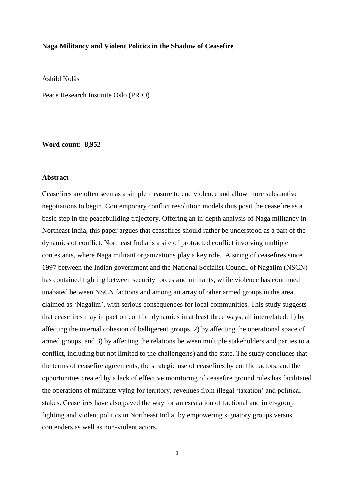### **Naga Militancy and Violent Politics in the Shadow of Ceasefire**

Åshild Kolås

Peace Research Institute Oslo (PRIO)

### **Word count: 8,952**

### **Abstract**

Ceasefires are often seen as a simple measure to end violence and allow more substantive negotiations to begin. Contemporary conflict resolution models thus posit the ceasefire as a basic step in the peacebuilding trajectory. Offering an in-depth analysis of Naga militancy in Northeast India, this paper argues that ceasefires should rather be understood as a part of the dynamics of conflict. Northeast India is a site of protracted conflict involving multiple contestants, where Naga militant organizations play a key role. A string of ceasefires since 1997 between the Indian government and the National Socialist Council of Nagalim (NSCN) has contained fighting between security forces and militants, while violence has continued unabated between NSCN factions and among an array of other armed groups in the area claimed as 'Nagalim', with serious consequences for local communities. This study suggests that ceasefires may impact on conflict dynamics in at least three ways, all interrelated: 1) by affecting the internal cohesion of belligerent groups, 2) by affecting the operational space of armed groups, and 3) by affecting the relations between multiple stakeholders and parties to a conflict, including but not limited to the challenger(s) and the state. The study concludes that the terms of ceasefire agreements, the strategic use of ceasefires by conflict actors, and the opportunities created by a lack of effective monitoring of ceasefire ground rules has facilitated the operations of militants vying for territory, revenues from illegal 'taxation' and political stakes. Ceasefires have also paved the way for an escalation of factional and inter-group fighting and violent politics in Northeast India, by empowering signatory groups versus contenders as well as non-violent actors.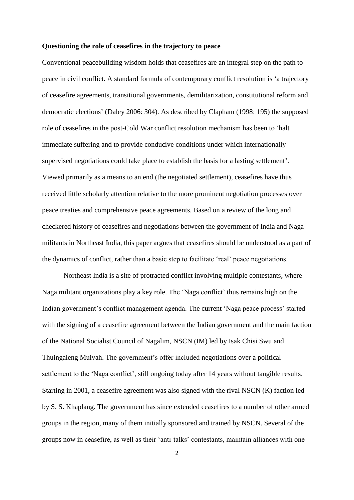#### **Questioning the role of ceasefires in the trajectory to peace**

Conventional peacebuilding wisdom holds that ceasefires are an integral step on the path to peace in civil conflict. A standard formula of contemporary conflict resolution is 'a trajectory of ceasefire agreements, transitional governments, demilitarization, constitutional reform and democratic elections' (Daley 2006: 304). As described by Clapham (1998: 195) the supposed role of ceasefires in the post-Cold War conflict resolution mechanism has been to 'halt immediate suffering and to provide conducive conditions under which internationally supervised negotiations could take place to establish the basis for a lasting settlement'. Viewed primarily as a means to an end (the negotiated settlement), ceasefires have thus received little scholarly attention relative to the more prominent negotiation processes over peace treaties and comprehensive peace agreements. Based on a review of the long and checkered history of ceasefires and negotiations between the government of India and Naga militants in Northeast India, this paper argues that ceasefires should be understood as a part of the dynamics of conflict, rather than a basic step to facilitate 'real' peace negotiations.

Northeast India is a site of protracted conflict involving multiple contestants, where Naga militant organizations play a key role. The 'Naga conflict' thus remains high on the Indian government's conflict management agenda. The current 'Naga peace process' started with the signing of a ceasefire agreement between the Indian government and the main faction of the National Socialist Council of Nagalim, NSCN (IM) led by Isak Chisi Swu and Thuingaleng Muivah. The government's offer included negotiations over a political settlement to the 'Naga conflict', still ongoing today after 14 years without tangible results. Starting in 2001, a ceasefire agreement was also signed with the rival NSCN (K) faction led by S. S. Khaplang. The government has since extended ceasefires to a number of other armed groups in the region, many of them initially sponsored and trained by NSCN. Several of the groups now in ceasefire, as well as their 'anti-talks' contestants, maintain alliances with one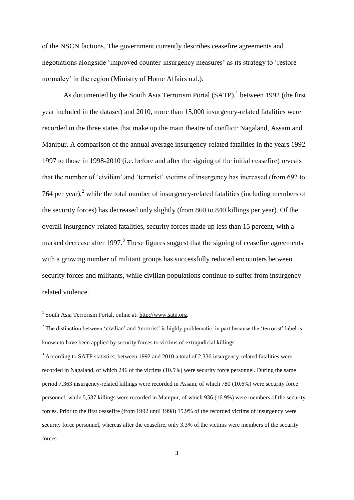of the NSCN factions. The government currently describes ceasefire agreements and negotiations alongside 'improved counter-insurgency measures' as its strategy to 'restore normalcy' in the region (Ministry of Home Affairs n.d.).

As documented by the South Asia Terrorism Portal  $(SATP)$ , between 1992 (the first year included in the dataset) and 2010, more than 15,000 insurgency-related fatalities were recorded in the three states that make up the main theatre of conflict: Nagaland, Assam and Manipur. A comparison of the annual average insurgency-related fatalities in the years 1992- 1997 to those in 1998-2010 (i.e. before and after the signing of the initial ceasefire) reveals that the number of 'civilian' and 'terrorist' victims of insurgency has increased (from 692 to 764 per year), $2$  while the total number of insurgency-related fatalities (including members of the security forces) has decreased only slightly (from 860 to 840 killings per year). Of the overall insurgency-related fatalities, security forces made up less than 15 percent, with a marked decrease after 1997. $3$  These figures suggest that the signing of ceasefire agreements with a growing number of militant groups has successfully reduced encounters between security forces and militants, while civilian populations continue to suffer from insurgencyrelated violence.

<sup>3</sup> According to SATP statistics, between 1992 and 2010 a total of 2,336 insurgency-related fatalities were recorded in Nagaland, of which 246 of the victims (10.5%) were security force personnel. During the same period 7,363 insurgency-related killings were recorded in Assam, of which 780 (10.6%) were security force personnel, while 5,537 killings were recorded in Manipur, of which 936 (16.9%) were members of the security forces. Prior to the first ceasefire (from 1992 until 1998) 15.9% of the recorded victims of insurgency were security force personnel, whereas after the ceasefire, only 3.3% of the victims were members of the security forces.

<sup>1&</sup>lt;br><sup>1</sup> South Asia Terrorism Portal, online at: [http://www.satp.org.](http://www.satp.org/)

<sup>&</sup>lt;sup>2</sup> The distinction between 'civilian' and 'terrorist' is highly problematic, in part because the 'terrorist' label is known to have been applied by security forces to victims of extrajudicial killings.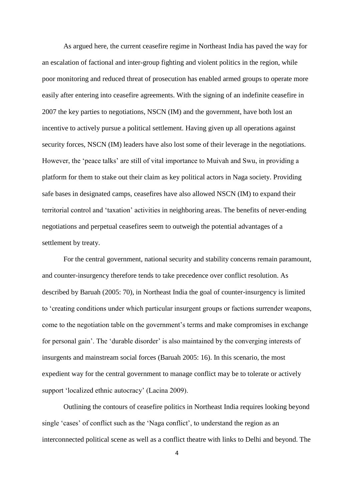As argued here, the current ceasefire regime in Northeast India has paved the way for an escalation of factional and inter-group fighting and violent politics in the region, while poor monitoring and reduced threat of prosecution has enabled armed groups to operate more easily after entering into ceasefire agreements. With the signing of an indefinite ceasefire in 2007 the key parties to negotiations, NSCN (IM) and the government, have both lost an incentive to actively pursue a political settlement. Having given up all operations against security forces, NSCN (IM) leaders have also lost some of their leverage in the negotiations. However, the 'peace talks' are still of vital importance to Muivah and Swu, in providing a platform for them to stake out their claim as key political actors in Naga society. Providing safe bases in designated camps, ceasefires have also allowed NSCN (IM) to expand their territorial control and 'taxation' activities in neighboring areas. The benefits of never-ending negotiations and perpetual ceasefires seem to outweigh the potential advantages of a settlement by treaty.

For the central government, national security and stability concerns remain paramount, and counter-insurgency therefore tends to take precedence over conflict resolution. As described by Baruah (2005: 70), in Northeast India the goal of counter-insurgency is limited to 'creating conditions under which particular insurgent groups or factions surrender weapons, come to the negotiation table on the government's terms and make compromises in exchange for personal gain'. The 'durable disorder' is also maintained by the converging interests of insurgents and mainstream social forces (Baruah 2005: 16). In this scenario, the most expedient way for the central government to manage conflict may be to tolerate or actively support 'localized ethnic autocracy' (Lacina 2009).

Outlining the contours of ceasefire politics in Northeast India requires looking beyond single 'cases' of conflict such as the 'Naga conflict', to understand the region as an interconnected political scene as well as a conflict theatre with links to Delhi and beyond. The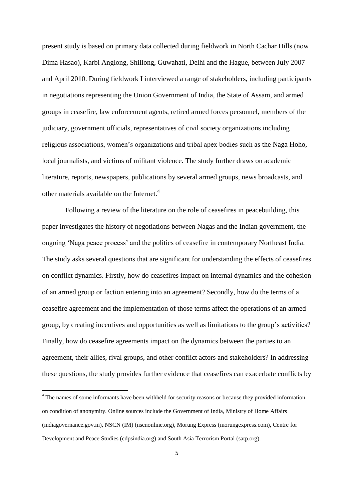present study is based on primary data collected during fieldwork in North Cachar Hills (now Dima Hasao), Karbi Anglong, Shillong, Guwahati, Delhi and the Hague, between July 2007 and April 2010. During fieldwork I interviewed a range of stakeholders, including participants in negotiations representing the Union Government of India, the State of Assam, and armed groups in ceasefire, law enforcement agents, retired armed forces personnel, members of the judiciary, government officials, representatives of civil society organizations including religious associations, women's organizations and tribal apex bodies such as the Naga Hoho, local journalists, and victims of militant violence. The study further draws on academic literature, reports, newspapers, publications by several armed groups, news broadcasts, and other materials available on the Internet.<sup>4</sup>

Following a review of the literature on the role of ceasefires in peacebuilding, this paper investigates the history of negotiations between Nagas and the Indian government, the ongoing 'Naga peace process' and the politics of ceasefire in contemporary Northeast India. The study asks several questions that are significant for understanding the effects of ceasefires on conflict dynamics. Firstly, how do ceasefires impact on internal dynamics and the cohesion of an armed group or faction entering into an agreement? Secondly, how do the terms of a ceasefire agreement and the implementation of those terms affect the operations of an armed group, by creating incentives and opportunities as well as limitations to the group's activities? Finally, how do ceasefire agreements impact on the dynamics between the parties to an agreement, their allies, rival groups, and other conflict actors and stakeholders? In addressing these questions, the study provides further evidence that ceasefires can exacerbate conflicts by

<sup>&</sup>lt;sup>4</sup> The names of some informants have been withheld for security reasons or because they provided information on condition of anonymity. Online sources include the Government of India, Ministry of Home Affairs (indiagovernance.gov.in), NSCN (IM) (nscnonline.org), Morung Express (morungexpress.com), Centre for Development and Peace Studies (cdpsindia.org) and South Asia Terrorism Portal (satp.org).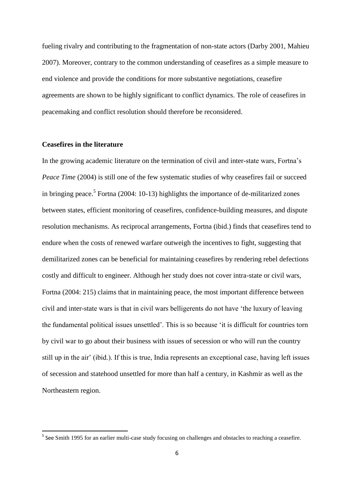fueling rivalry and contributing to the fragmentation of non-state actors (Darby 2001, Mahieu 2007). Moreover, contrary to the common understanding of ceasefires as a simple measure to end violence and provide the conditions for more substantive negotiations, ceasefire agreements are shown to be highly significant to conflict dynamics. The role of ceasefires in peacemaking and conflict resolution should therefore be reconsidered.

## **Ceasefires in the literature**

In the growing academic literature on the termination of civil and inter-state wars, Fortna's *Peace Time* (2004) is still one of the few systematic studies of why ceasefires fail or succeed in bringing peace.<sup>5</sup> Fortna (2004: 10-13) highlights the importance of de-militarized zones between states, efficient monitoring of ceasefires, confidence-building measures, and dispute resolution mechanisms. As reciprocal arrangements, Fortna (ibid.) finds that ceasefires tend to endure when the costs of renewed warfare outweigh the incentives to fight, suggesting that demilitarized zones can be beneficial for maintaining ceasefires by rendering rebel defections costly and difficult to engineer. Although her study does not cover intra-state or civil wars, Fortna (2004: 215) claims that in maintaining peace, the most important difference between civil and inter-state wars is that in civil wars belligerents do not have 'the luxury of leaving the fundamental political issues unsettled'. This is so because 'it is difficult for countries torn by civil war to go about their business with issues of secession or who will run the country still up in the air' (ibid.). If this is true, India represents an exceptional case, having left issues of secession and statehood unsettled for more than half a century, in Kashmir as well as the Northeastern region.

<sup>-&</sup>lt;br><sup>5</sup> See Smith 1995 for an earlier multi-case study focusing on challenges and obstacles to reaching a ceasefire.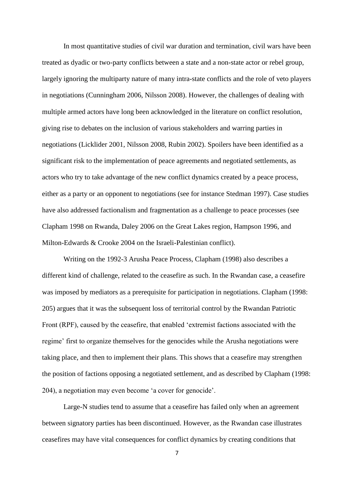In most quantitative studies of civil war duration and termination, civil wars have been treated as dyadic or two-party conflicts between a state and a non-state actor or rebel group, largely ignoring the multiparty nature of many intra-state conflicts and the role of veto players in negotiations (Cunningham 2006, Nilsson 2008). However, the challenges of dealing with multiple armed actors have long been acknowledged in the literature on conflict resolution, giving rise to debates on the inclusion of various stakeholders and warring parties in negotiations (Licklider 2001, Nilsson 2008, Rubin 2002). Spoilers have been identified as a significant risk to the implementation of peace agreements and negotiated settlements, as actors who try to take advantage of the new conflict dynamics created by a peace process, either as a party or an opponent to negotiations (see for instance Stedman 1997). Case studies have also addressed factionalism and fragmentation as a challenge to peace processes (see Clapham 1998 on Rwanda, Daley 2006 on the Great Lakes region, Hampson 1996, and Milton-Edwards & Crooke 2004 on the Israeli-Palestinian conflict).

Writing on the 1992-3 Arusha Peace Process, Clapham (1998) also describes a different kind of challenge, related to the ceasefire as such. In the Rwandan case, a ceasefire was imposed by mediators as a prerequisite for participation in negotiations. Clapham (1998: 205) argues that it was the subsequent loss of territorial control by the Rwandan Patriotic Front (RPF), caused by the ceasefire, that enabled 'extremist factions associated with the regime' first to organize themselves for the genocides while the Arusha negotiations were taking place, and then to implement their plans. This shows that a ceasefire may strengthen the position of factions opposing a negotiated settlement, and as described by Clapham (1998: 204), a negotiation may even become 'a cover for genocide'.

Large-N studies tend to assume that a ceasefire has failed only when an agreement between signatory parties has been discontinued. However, as the Rwandan case illustrates ceasefires may have vital consequences for conflict dynamics by creating conditions that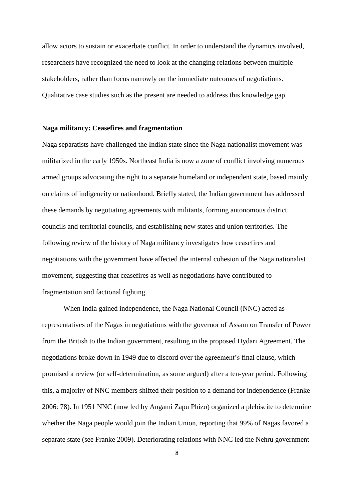allow actors to sustain or exacerbate conflict. In order to understand the dynamics involved, researchers have recognized the need to look at the changing relations between multiple stakeholders, rather than focus narrowly on the immediate outcomes of negotiations. Qualitative case studies such as the present are needed to address this knowledge gap.

#### **Naga militancy: Ceasefires and fragmentation**

Naga separatists have challenged the Indian state since the Naga nationalist movement was militarized in the early 1950s. Northeast India is now a zone of conflict involving numerous armed groups advocating the right to a separate homeland or independent state, based mainly on claims of indigeneity or nationhood. Briefly stated, the Indian government has addressed these demands by negotiating agreements with militants, forming autonomous district councils and territorial councils, and establishing new states and union territories. The following review of the history of Naga militancy investigates how ceasefires and negotiations with the government have affected the internal cohesion of the Naga nationalist movement, suggesting that ceasefires as well as negotiations have contributed to fragmentation and factional fighting.

When India gained independence, the Naga National Council (NNC) acted as representatives of the Nagas in negotiations with the governor of Assam on Transfer of Power from the British to the Indian government, resulting in the proposed Hydari Agreement. The negotiations broke down in 1949 due to discord over the agreement's final clause, which promised a review (or self-determination, as some argued) after a ten-year period. Following this, a majority of NNC members shifted their position to a demand for independence (Franke 2006: 78). In 1951 NNC (now led by Angami Zapu Phizo) organized a plebiscite to determine whether the Naga people would join the Indian Union, reporting that 99% of Nagas favored a separate state (see Franke 2009). Deteriorating relations with NNC led the Nehru government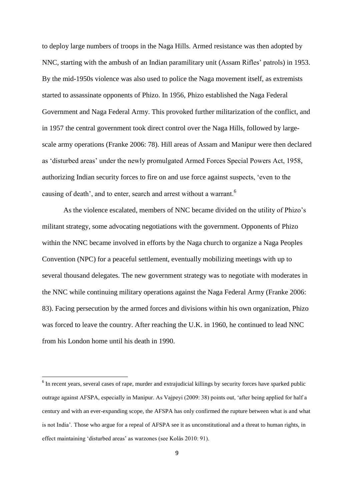to deploy large numbers of troops in the Naga Hills. Armed resistance was then adopted by NNC, starting with the ambush of an Indian paramilitary unit (Assam Rifles' patrols) in 1953. By the mid-1950s violence was also used to police the Naga movement itself, as extremists started to assassinate opponents of Phizo. In 1956, Phizo established the Naga Federal Government and Naga Federal Army. This provoked further militarization of the conflict, and in 1957 the central government took direct control over the Naga Hills, followed by largescale army operations (Franke 2006: 78). Hill areas of Assam and Manipur were then declared as 'disturbed areas' under the newly promulgated Armed Forces Special Powers Act, 1958, authorizing Indian security forces to fire on and use force against suspects, 'even to the causing of death', and to enter, search and arrest without a warrant.<sup>6</sup>

As the violence escalated, members of NNC became divided on the utility of Phizo's militant strategy, some advocating negotiations with the government. Opponents of Phizo within the NNC became involved in efforts by the Naga church to organize a Naga Peoples Convention (NPC) for a peaceful settlement, eventually mobilizing meetings with up to several thousand delegates. The new government strategy was to negotiate with moderates in the NNC while continuing military operations against the Naga Federal Army (Franke 2006: 83). Facing persecution by the armed forces and divisions within his own organization, Phizo was forced to leave the country. After reaching the U.K. in 1960, he continued to lead NNC from his London home until his death in 1990.

 $6$  In recent years, several cases of rape, murder and extrajudicial killings by security forces have sparked public outrage against AFSPA, especially in Manipur. As Vajpeyi (2009: 38) points out, 'after being applied for half a century and with an ever-expanding scope, the AFSPA has only confirmed the rupture between what is and what is not India'. Those who argue for a repeal of AFSPA see it as unconstitutional and a threat to human rights, in effect maintaining 'disturbed areas' as warzones (see Kolås 2010: 91).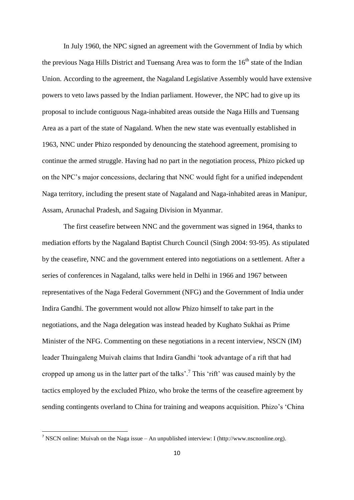In July 1960, the NPC signed an agreement with the Government of India by which the previous Naga Hills District and Tuensang Area was to form the 16<sup>th</sup> state of the Indian Union. According to the agreement, the Nagaland Legislative Assembly would have extensive powers to veto laws passed by the Indian parliament. However, the NPC had to give up its proposal to include contiguous Naga-inhabited areas outside the Naga Hills and Tuensang Area as a part of the state of Nagaland. When the new state was eventually established in 1963, NNC under Phizo responded by denouncing the statehood agreement, promising to continue the armed struggle. Having had no part in the negotiation process, Phizo picked up on the NPC's major concessions, declaring that NNC would fight for a unified independent Naga territory, including the present state of Nagaland and Naga-inhabited areas in Manipur, Assam, Arunachal Pradesh, and Sagaing Division in Myanmar.

The first ceasefire between NNC and the government was signed in 1964, thanks to mediation efforts by the Nagaland Baptist Church Council (Singh 2004: 93-95). As stipulated by the ceasefire, NNC and the government entered into negotiations on a settlement. After a series of conferences in Nagaland, talks were held in Delhi in 1966 and 1967 between representatives of the Naga Federal Government (NFG) and the Government of India under Indira Gandhi. The government would not allow Phizo himself to take part in the negotiations, and the Naga delegation was instead headed by Kughato Sukhai as Prime Minister of the NFG. Commenting on these negotiations in a recent interview, NSCN (IM) leader Thuingaleng Muivah claims that Indira Gandhi 'took advantage of a rift that had cropped up among us in the latter part of the talks'.<sup>7</sup> This 'rift' was caused mainly by the tactics employed by the excluded Phizo, who broke the terms of the ceasefire agreement by sending contingents overland to China for training and weapons acquisition. Phizo's 'China

<sup>&</sup>lt;sup>7</sup> NSCN online: Muivah on the Naga issue – An unpublished interview: I [\(http://www.nscnonline.org\).](http://www.nscnonline.org)/)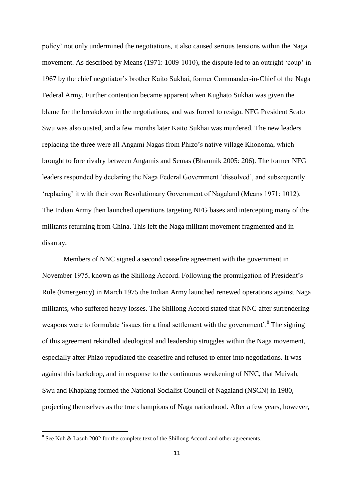policy' not only undermined the negotiations, it also caused serious tensions within the Naga movement. As described by Means (1971: 1009-1010), the dispute led to an outright 'coup' in 1967 by the chief negotiator's brother Kaito Sukhai, former Commander-in-Chief of the Naga Federal Army. Further contention became apparent when Kughato Sukhai was given the blame for the breakdown in the negotiations, and was forced to resign. NFG President Scato Swu was also ousted, and a few months later Kaito Sukhai was murdered. The new leaders replacing the three were all Angami Nagas from Phizo's native village Khonoma, which brought to fore rivalry between Angamis and Semas (Bhaumik 2005: 206). The former NFG leaders responded by declaring the Naga Federal Government 'dissolved', and subsequently 'replacing' it with their own Revolutionary Government of Nagaland (Means 1971: 1012). The Indian Army then launched operations targeting NFG bases and intercepting many of the militants returning from China. This left the Naga militant movement fragmented and in disarray.

Members of NNC signed a second ceasefire agreement with the government in November 1975, known as the Shillong Accord. Following the promulgation of President's Rule (Emergency) in March 1975 the Indian Army launched renewed operations against Naga militants, who suffered heavy losses. The Shillong Accord stated that NNC after surrendering weapons were to formulate 'issues for a final settlement with the government'. $8$  The signing of this agreement rekindled ideological and leadership struggles within the Naga movement, especially after Phizo repudiated the ceasefire and refused to enter into negotiations. It was against this backdrop, and in response to the continuous weakening of NNC, that Muivah, Swu and Khaplang formed the National Socialist Council of Nagaland (NSCN) in 1980, projecting themselves as the true champions of Naga nationhood. After a few years, however,

<sup>&</sup>lt;sup>8</sup> See Nuh & Lasuh 2002 for the complete text of the Shillong Accord and other agreements.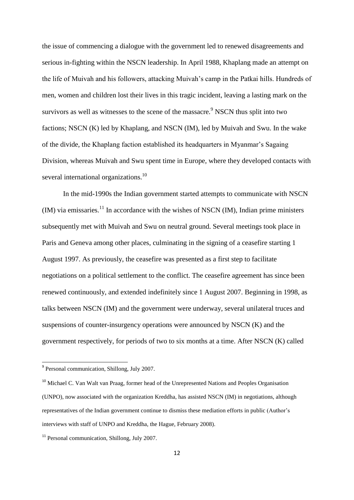the issue of commencing a dialogue with the government led to renewed disagreements and serious in-fighting within the NSCN leadership. In April 1988, Khaplang made an attempt on the life of Muivah and his followers, attacking Muivah's camp in the Patkai hills. Hundreds of men, women and children lost their lives in this tragic incident, leaving a lasting mark on the survivors as well as witnesses to the scene of the massacre.<sup>9</sup> NSCN thus split into two factions; NSCN (K) led by Khaplang, and NSCN (IM), led by Muivah and Swu. In the wake of the divide, the Khaplang faction established its headquarters in Myanmar's Sagaing Division, whereas Muivah and Swu spent time in Europe, where they developed contacts with several international organizations.<sup>10</sup>

In the mid-1990s the Indian government started attempts to communicate with NSCN  $(M)$  via emissaries.<sup>11</sup> In accordance with the wishes of NSCN (IM), Indian prime ministers subsequently met with Muivah and Swu on neutral ground. Several meetings took place in Paris and Geneva among other places, culminating in the signing of a ceasefire starting 1 August 1997. As previously, the ceasefire was presented as a first step to facilitate negotiations on a political settlement to the conflict. The ceasefire agreement has since been renewed continuously, and extended indefinitely since 1 August 2007. Beginning in 1998, as talks between NSCN (IM) and the government were underway, several unilateral truces and suspensions of counter-insurgency operations were announced by NSCN (K) and the government respectively, for periods of two to six months at a time. After NSCN (K) called

Personal communication, Shillong, July 2007.

<sup>&</sup>lt;sup>10</sup> Michael C. Van Walt van Praag, former head of the Unrepresented Nations and Peoples Organisation (UNPO), now associated with the organization Kreddha, has assisted NSCN (IM) in negotiations, although representatives of the Indian government continue to dismiss these mediation efforts in public (Author's interviews with staff of UNPO and Kreddha, the Hague, February 2008).

<sup>&</sup>lt;sup>11</sup> Personal communication, Shillong, July 2007.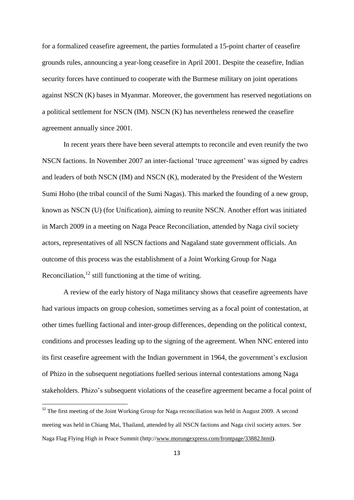for a formalized ceasefire agreement, the parties formulated a 15-point charter of ceasefire grounds rules, announcing a year-long ceasefire in April 2001. Despite the ceasefire, Indian security forces have continued to cooperate with the Burmese military on joint operations against NSCN (K) bases in Myanmar. Moreover, the government has reserved negotiations on a political settlement for NSCN (IM). NSCN (K) has nevertheless renewed the ceasefire agreement annually since 2001.

In recent years there have been several attempts to reconcile and even reunify the two NSCN factions. In November 2007 an inter-factional 'truce agreement' was signed by cadres and leaders of both NSCN (IM) and NSCN (K), moderated by the President of the Western Sumi Hoho (the tribal council of the Sumi Nagas). This marked the founding of a new group, known as NSCN (U) (for Unification), aiming to reunite NSCN. Another effort was initiated in March 2009 in a meeting on Naga Peace Reconciliation, attended by Naga civil society actors, representatives of all NSCN factions and Nagaland state government officials. An outcome of this process was the establishment of a Joint Working Group for Naga Reconciliation, $12$  still functioning at the time of writing.

A review of the early history of Naga militancy shows that ceasefire agreements have had various impacts on group cohesion, sometimes serving as a focal point of contestation, at other times fuelling factional and inter-group differences, depending on the political context, conditions and processes leading up to the signing of the agreement. When NNC entered into its first ceasefire agreement with the Indian government in 1964, the government's exclusion of Phizo in the subsequent negotiations fuelled serious internal contestations among Naga stakeholders. Phizo's subsequent violations of the ceasefire agreement became a focal point of

1

 $12$  The first meeting of the Joint Working Group for Naga reconciliation was held in August 2009. A second meeting was held in Chiang Mai, Thailand, attended by all NSCN factions and Naga civil society actors. See Naga Flag Flying High in Peace Summit (http:/[/www.morungexpress.com/frontpage/33882.html](http://www.morungexpress.com/frontpage/33882.html)**)**.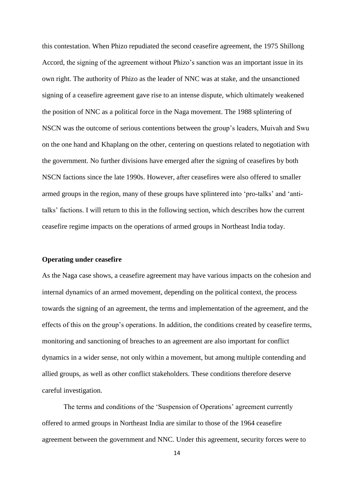this contestation. When Phizo repudiated the second ceasefire agreement, the 1975 Shillong Accord, the signing of the agreement without Phizo's sanction was an important issue in its own right. The authority of Phizo as the leader of NNC was at stake, and the unsanctioned signing of a ceasefire agreement gave rise to an intense dispute, which ultimately weakened the position of NNC as a political force in the Naga movement. The 1988 splintering of NSCN was the outcome of serious contentions between the group's leaders, Muivah and Swu on the one hand and Khaplang on the other, centering on questions related to negotiation with the government. No further divisions have emerged after the signing of ceasefires by both NSCN factions since the late 1990s. However, after ceasefires were also offered to smaller armed groups in the region, many of these groups have splintered into 'pro-talks' and 'antitalks' factions. I will return to this in the following section, which describes how the current ceasefire regime impacts on the operations of armed groups in Northeast India today.

#### **Operating under ceasefire**

As the Naga case shows, a ceasefire agreement may have various impacts on the cohesion and internal dynamics of an armed movement, depending on the political context, the process towards the signing of an agreement, the terms and implementation of the agreement, and the effects of this on the group's operations. In addition, the conditions created by ceasefire terms, monitoring and sanctioning of breaches to an agreement are also important for conflict dynamics in a wider sense, not only within a movement, but among multiple contending and allied groups, as well as other conflict stakeholders. These conditions therefore deserve careful investigation.

The terms and conditions of the 'Suspension of Operations' agreement currently offered to armed groups in Northeast India are similar to those of the 1964 ceasefire agreement between the government and NNC. Under this agreement, security forces were to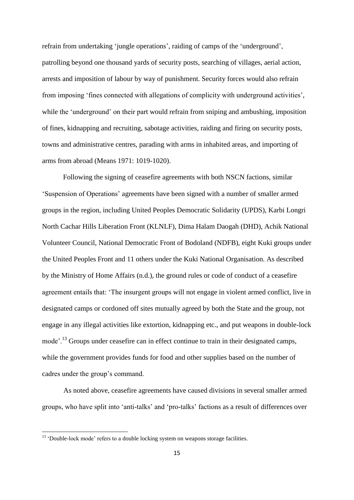refrain from undertaking 'jungle operations', raiding of camps of the 'underground', patrolling beyond one thousand yards of security posts, searching of villages, aerial action, arrests and imposition of labour by way of punishment. Security forces would also refrain from imposing 'fines connected with allegations of complicity with underground activities', while the 'underground' on their part would refrain from sniping and ambushing, imposition of fines, kidnapping and recruiting, sabotage activities, raiding and firing on security posts, towns and administrative centres, parading with arms in inhabited areas, and importing of arms from abroad (Means 1971: 1019-1020).

Following the signing of ceasefire agreements with both NSCN factions, similar 'Suspension of Operations' agreements have been signed with a number of smaller armed groups in the region, including United Peoples Democratic Solidarity (UPDS), Karbi Longri North Cachar Hills Liberation Front (KLNLF), Dima Halam Daogah (DHD), Achik National Volunteer Council, National Democratic Front of Bodoland (NDFB), eight Kuki groups under the United Peoples Front and 11 others under the Kuki National Organisation. As described by the Ministry of Home Affairs (n.d.), the ground rules or code of conduct of a ceasefire agreement entails that: 'The insurgent groups will not engage in violent armed conflict, live in designated camps or cordoned off sites mutually agreed by both the State and the group, not engage in any illegal activities like extortion, kidnapping etc., and put weapons in double-lock mode'.<sup>13</sup> Groups under ceasefire can in effect continue to train in their designated camps, while the government provides funds for food and other supplies based on the number of cadres under the group's command.

As noted above, ceasefire agreements have caused divisions in several smaller armed groups, who have split into 'anti-talks' and 'pro-talks' factions as a result of differences over

 $13$  'Double-lock mode' refers to a double locking system on weapons storage facilities.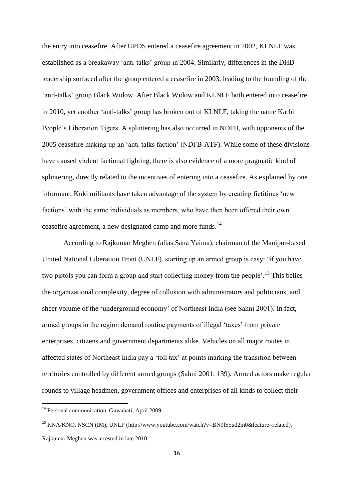the entry into ceasefire. After UPDS entered a ceasefire agreement in 2002, KLNLF was established as a breakaway 'anti-talks' group in 2004. Similarly, differences in the DHD leadership surfaced after the group entered a ceasefire in 2003, leading to the founding of the 'anti-talks' group Black Widow. After Black Widow and KLNLF both entered into ceasefire in 2010, yet another 'anti-talks' group has broken out of KLNLF, taking the name Karbi People's Liberation Tigers. A splintering has also occurred in NDFB, with opponents of the 2005 ceasefire making up an 'anti-talks faction' (NDFB-ATF). While some of these divisions have caused violent factional fighting, there is also evidence of a more pragmatic kind of splintering, directly related to the incentives of entering into a ceasefire. As explained by one informant, Kuki militants have taken advantage of the system by creating fictitious 'new factions' with the same individuals as members, who have then been offered their own ceasefire agreement, a new designated camp and more funds.<sup>14</sup>

According to Rajkumar Meghen (alias Sana Yaima), chairman of the Manipur-based United National Liberation Front (UNLF), starting up an armed group is easy: 'if you have two pistols you can form a group and start collecting money from the people'.<sup>15</sup> This belies the organizational complexity, degree of collusion with administrators and politicians, and sheer volume of the 'underground economy' of Northeast India (see Sahni 2001). In fact, armed groups in the region demand routine payments of illegal 'taxes' from private enterprises, citizens and government departments alike. Vehicles on all major routes in affected states of Northeast India pay a 'toll tax' at points marking the transition between territories controlled by different armed groups (Sahni 2001: 139). Armed actors make regular rounds to village headmen, government offices and enterprises of all kinds to collect their

<sup>14</sup> Personal communication, Guwahati, April 2009.

<sup>&</sup>lt;sup>15</sup> KNA/KNO, NSCN (IM), UNLF [\(http://www.youtube.com/watch?v=BN9lS5ud2m0&feature=related\)](http://www.youtube.com/watch?v=BN9lS5ud2m0&feature=related). Rajkumar Meghen was arrested in late 2010.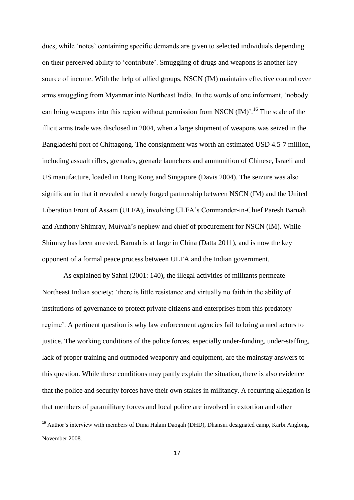dues, while 'notes' containing specific demands are given to selected individuals depending on their perceived ability to 'contribute'. Smuggling of drugs and weapons is another key source of income. With the help of allied groups, NSCN (IM) maintains effective control over arms smuggling from Myanmar into Northeast India. In the words of one informant, 'nobody can bring weapons into this region without permission from NSCN  $(IM)$ <sup> $,16$ </sup>. The scale of the illicit arms trade was disclosed in 2004, when a large shipment of weapons was seized in the Bangladeshi port of Chittagong. The consignment was worth an estimated USD 4.5-7 million, including assualt rifles, grenades, grenade launchers and ammunition of Chinese, Israeli and US manufacture, loaded in Hong Kong and Singapore (Davis 2004). The seizure was also significant in that it revealed a newly forged partnership between NSCN (IM) and the United Liberation Front of Assam (ULFA), involving ULFA's Commander-in-Chief Paresh Baruah and Anthony Shimray, Muivah's nephew and chief of procurement for NSCN (IM). While Shimray has been arrested, Baruah is at large in China (Datta 2011), and is now the key opponent of a formal peace process between ULFA and the Indian government.

As explained by Sahni (2001: 140), the illegal activities of militants permeate Northeast Indian society: 'there is little resistance and virtually no faith in the ability of institutions of governance to protect private citizens and enterprises from this predatory regime'. A pertinent question is why law enforcement agencies fail to bring armed actors to justice. The working conditions of the police forces, especially under-funding, under-staffing, lack of proper training and outmoded weaponry and equipment, are the mainstay answers to this question. While these conditions may partly explain the situation, there is also evidence that the police and security forces have their own stakes in militancy. A recurring allegation is that members of paramilitary forces and local police are involved in extortion and other

<sup>&</sup>lt;sup>16</sup> Author's interview with members of Dima Halam Daogah (DHD), Dhansiri designated camp, Karbi Anglong, November 2008.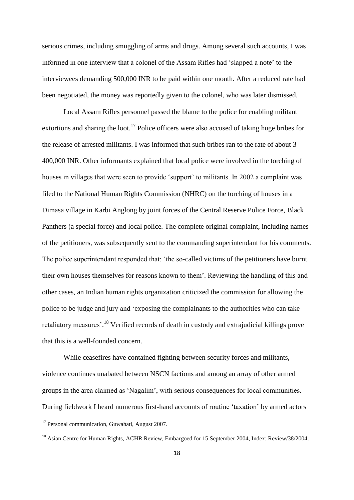serious crimes, including smuggling of arms and drugs. Among several such accounts, I was informed in one interview that a colonel of the Assam Rifles had 'slapped a note' to the interviewees demanding 500,000 INR to be paid within one month. After a reduced rate had been negotiated, the money was reportedly given to the colonel, who was later dismissed.

Local Assam Rifles personnel passed the blame to the police for enabling militant extortions and sharing the loot.<sup>17</sup> Police officers were also accused of taking huge bribes for the release of arrested militants. I was informed that such bribes ran to the rate of about 3- 400,000 INR. Other informants explained that local police were involved in the torching of houses in villages that were seen to provide 'support' to militants. In 2002 a complaint was filed to the National Human Rights Commission (NHRC) on the torching of houses in a Dimasa village in Karbi Anglong by joint forces of the Central Reserve Police Force, Black Panthers (a special force) and local police. The complete original complaint, including names of the petitioners, was subsequently sent to the commanding superintendant for his comments. The police superintendant responded that: 'the so-called victims of the petitioners have burnt their own houses themselves for reasons known to them'. Reviewing the handling of this and other cases, an Indian human rights organization criticized the commission for allowing the police to be judge and jury and 'exposing the complainants to the authorities who can take retaliatory measures'.<sup>18</sup> Verified records of death in custody and extrajudicial killings prove that this is a well-founded concern.

While ceasefires have contained fighting between security forces and militants, violence continues unabated between NSCN factions and among an array of other armed groups in the area claimed as 'Nagalim', with serious consequences for local communities. During fieldwork I heard numerous first-hand accounts of routine 'taxation' by armed actors

1

<sup>&</sup>lt;sup>17</sup> Personal communication, Guwahati, August 2007.

<sup>&</sup>lt;sup>18</sup> Asian Centre for Human Rights, ACHR Review, Embargoed for 15 September 2004, Index: Review/38/2004.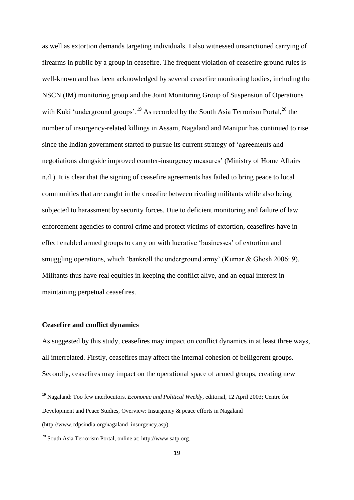as well as extortion demands targeting individuals. I also witnessed unsanctioned carrying of firearms in public by a group in ceasefire. The frequent violation of ceasefire ground rules is well-known and has been acknowledged by several ceasefire monitoring bodies, including the NSCN (IM) monitoring group and the Joint Monitoring Group of Suspension of Operations with Kuki 'underground groups'.<sup>19</sup> As recorded by the South Asia Terrorism Portal,<sup>20</sup> the number of insurgency-related killings in Assam, Nagaland and Manipur has continued to rise since the Indian government started to pursue its current strategy of 'agreements and negotiations alongside improved counter-insurgency measures' (Ministry of Home Affairs n.d.). It is clear that the signing of ceasefire agreements has failed to bring peace to local communities that are caught in the crossfire between rivaling militants while also being subjected to harassment by security forces. Due to deficient monitoring and failure of law enforcement agencies to control crime and protect victims of extortion, ceasefires have in effect enabled armed groups to carry on with lucrative 'businesses' of extortion and smuggling operations, which 'bankroll the underground army' (Kumar & Ghosh 2006: 9). Militants thus have real equities in keeping the conflict alive, and an equal interest in maintaining perpetual ceasefires.

## **Ceasefire and conflict dynamics**

1

As suggested by this study, ceasefires may impact on conflict dynamics in at least three ways, all interrelated. Firstly, ceasefires may affect the internal cohesion of belligerent groups. Secondly, ceasefires may impact on the operational space of armed groups, creating new

<sup>19</sup> Nagaland: Too few interlocutors. *Economic and Political Weekly*, editorial, 12 April 2003; Centre for Development and Peace Studies, Overview: Insurgency & peace efforts in Nagaland (http://www[.cdpsindia.org/nagaland\\_insurgency.asp\)](http://cdpsindia.org/nagaland_insurgency.asp).

<sup>20</sup> South Asia Terrorism Portal, online at: [http://www.satp.org.](http://www.satp.org/)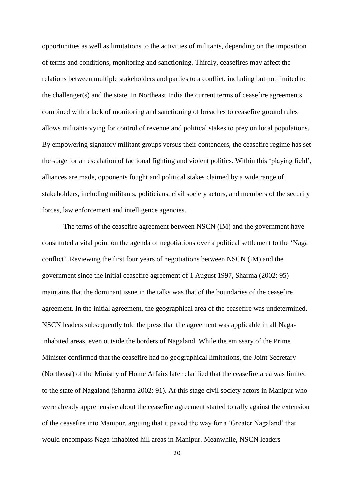opportunities as well as limitations to the activities of militants, depending on the imposition of terms and conditions, monitoring and sanctioning. Thirdly, ceasefires may affect the relations between multiple stakeholders and parties to a conflict, including but not limited to the challenger(s) and the state. In Northeast India the current terms of ceasefire agreements combined with a lack of monitoring and sanctioning of breaches to ceasefire ground rules allows militants vying for control of revenue and political stakes to prey on local populations. By empowering signatory militant groups versus their contenders, the ceasefire regime has set the stage for an escalation of factional fighting and violent politics. Within this 'playing field', alliances are made, opponents fought and political stakes claimed by a wide range of stakeholders, including militants, politicians, civil society actors, and members of the security forces, law enforcement and intelligence agencies.

The terms of the ceasefire agreement between NSCN (IM) and the government have constituted a vital point on the agenda of negotiations over a political settlement to the 'Naga conflict'. Reviewing the first four years of negotiations between NSCN (IM) and the government since the initial ceasefire agreement of 1 August 1997, Sharma (2002: 95) maintains that the dominant issue in the talks was that of the boundaries of the ceasefire agreement. In the initial agreement, the geographical area of the ceasefire was undetermined. NSCN leaders subsequently told the press that the agreement was applicable in all Nagainhabited areas, even outside the borders of Nagaland. While the emissary of the Prime Minister confirmed that the ceasefire had no geographical limitations, the Joint Secretary (Northeast) of the Ministry of Home Affairs later clarified that the ceasefire area was limited to the state of Nagaland (Sharma 2002: 91). At this stage civil society actors in Manipur who were already apprehensive about the ceasefire agreement started to rally against the extension of the ceasefire into Manipur, arguing that it paved the way for a 'Greater Nagaland' that would encompass Naga-inhabited hill areas in Manipur. Meanwhile, NSCN leaders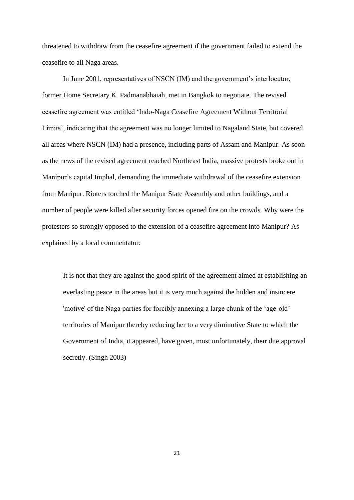threatened to withdraw from the ceasefire agreement if the government failed to extend the ceasefire to all Naga areas.

In June 2001, representatives of NSCN (IM) and the government's interlocutor, former Home Secretary K. Padmanabhaiah, met in Bangkok to negotiate. The revised ceasefire agreement was entitled 'Indo-Naga Ceasefire Agreement Without Territorial Limits', indicating that the agreement was no longer limited to Nagaland State, but covered all areas where NSCN (IM) had a presence, including parts of Assam and Manipur. As soon as the news of the revised agreement reached Northeast India, massive protests broke out in Manipur's capital Imphal, demanding the immediate withdrawal of the ceasefire extension from Manipur. Rioters torched the Manipur State Assembly and other buildings, and a number of people were killed after security forces opened fire on the crowds. Why were the protesters so strongly opposed to the extension of a ceasefire agreement into Manipur? As explained by a local commentator:

It is not that they are against the good spirit of the agreement aimed at establishing an everlasting peace in the areas but it is very much against the hidden and insincere 'motive' of the Naga parties for forcibly annexing a large chunk of the 'age-old' territories of Manipur thereby reducing her to a very diminutive State to which the Government of India, it appeared, have given, most unfortunately, their due approval secretly. (Singh 2003)

21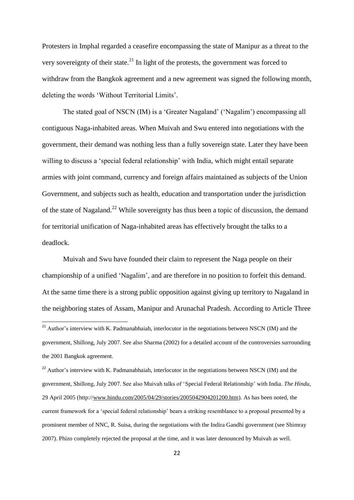Protesters in Imphal regarded a ceasefire encompassing the state of Manipur as a threat to the very sovereignty of their state.<sup>21</sup> In light of the protests, the government was forced to withdraw from the Bangkok agreement and a new agreement was signed the following month, deleting the words 'Without Territorial Limits'.

The stated goal of NSCN (IM) is a 'Greater Nagaland' ('Nagalim') encompassing all contiguous Naga-inhabited areas. When Muivah and Swu entered into negotiations with the government, their demand was nothing less than a fully sovereign state. Later they have been willing to discuss a 'special federal relationship' with India, which might entail separate armies with joint command, currency and foreign affairs maintained as subjects of the Union Government, and subjects such as health, education and transportation under the jurisdiction of the state of Nagaland.<sup>22</sup> While sovereignty has thus been a topic of discussion, the demand for territorial unification of Naga-inhabited areas has effectively brought the talks to a deadlock.

Muivah and Swu have founded their claim to represent the Naga people on their championship of a unified 'Nagalim', and are therefore in no position to forfeit this demand. At the same time there is a strong public opposition against giving up territory to Nagaland in the neighboring states of Assam, Manipur and Arunachal Pradesh. According to Article Three

1

 $^{21}$  Author's interview with K. Padmanabhaiah, interlocutor in the negotiations between NSCN (IM) and the government, Shillong, July 2007. See also Sharma (2002) for a detailed account of the controversies surrounding the 2001 Bangkok agreement.

<sup>&</sup>lt;sup>22</sup> Author's interview with K. Padmanabhaiah, interlocutor in the negotiations between NSCN (IM) and the government, Shillong, July 2007. See also Muivah talks of 'Special Federal Relationship' with India. *The Hindu*, 29 April 2005 (http:/[/www.hindu.com/2005/04/29/stories/2005042904201200.htm\)](http://www.hindu.com/2005/04/29/stories/2005042904201200.htm). As has been noted, the current framework for a 'special federal relationship' bears a striking resemblance to a proposal presented by a prominent member of NNC, R. Suisa, during the negotiations with the Indira Gandhi government (see Shimray 2007). Phizo completely rejected the proposal at the time, and it was later denounced by Muivah as well.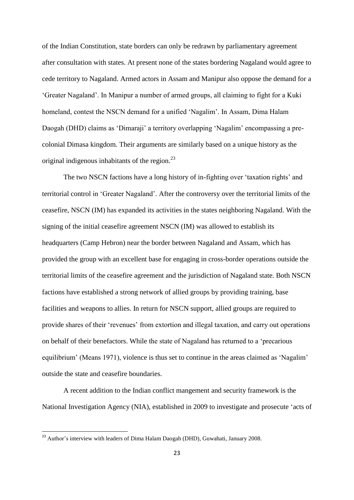of the Indian Constitution, state borders can only be redrawn by parliamentary agreement after consultation with states. At present none of the states bordering Nagaland would agree to cede territory to Nagaland. Armed actors in Assam and Manipur also oppose the demand for a 'Greater Nagaland'. In Manipur a number of armed groups, all claiming to fight for a Kuki homeland, contest the NSCN demand for a unified 'Nagalim'. In Assam, Dima Halam Daogah (DHD) claims as 'Dimaraji' a territory overlapping 'Nagalim' encompassing a precolonial Dimasa kingdom. Their arguments are similarly based on a unique history as the original indigenous inhabitants of the region.<sup>23</sup>

The two NSCN factions have a long history of in-fighting over 'taxation rights' and territorial control in 'Greater Nagaland'. After the controversy over the territorial limits of the ceasefire, NSCN (IM) has expanded its activities in the states neighboring Nagaland. With the signing of the initial ceasefire agreement NSCN (IM) was allowed to establish its headquarters (Camp Hebron) near the border between Nagaland and Assam, which has provided the group with an excellent base for engaging in cross-border operations outside the territorial limits of the ceasefire agreement and the jurisdiction of Nagaland state. Both NSCN factions have established a strong network of allied groups by providing training, base facilities and weapons to allies. In return for NSCN support, allied groups are required to provide shares of their 'revenues' from extortion and illegal taxation, and carry out operations on behalf of their benefactors. While the state of Nagaland has returned to a 'precarious equilibrium' (Means 1971), violence is thus set to continue in the areas claimed as 'Nagalim' outside the state and ceasefire boundaries.

A recent addition to the Indian conflict mangement and security framework is the National Investigation Agency (NIA), established in 2009 to investigate and prosecute 'acts of

<sup>&</sup>lt;sup>23</sup> Author's interview with leaders of Dima Halam Daogah (DHD), Guwahati, January 2008.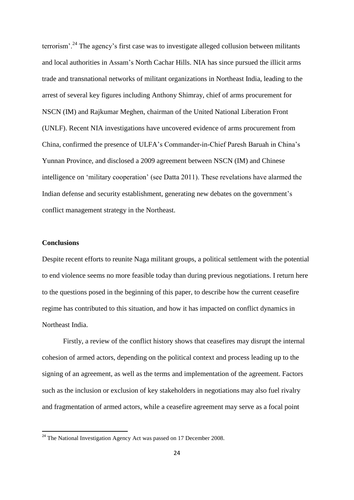terrorism'.<sup>24</sup> The agency's first case was to investigate alleged collusion between militants and local authorities in Assam's North Cachar Hills. NIA has since pursued the illicit arms trade and transnational networks of militant organizations in Northeast India, leading to the arrest of several key figures including Anthony Shimray, chief of arms procurement for NSCN (IM) and Rajkumar Meghen, chairman of the United National Liberation Front (UNLF). Recent NIA investigations have uncovered evidence of arms procurement from China, confirmed the presence of ULFA's Commander-in-Chief Paresh Baruah in China's Yunnan Province, and disclosed a 2009 agreement between NSCN (IM) and Chinese intelligence on 'military cooperation' (see Datta 2011). These revelations have alarmed the Indian defense and security establishment, generating new debates on the government's conflict management strategy in the Northeast.

## **Conclusions**

1

Despite recent efforts to reunite Naga militant groups, a political settlement with the potential to end violence seems no more feasible today than during previous negotiations. I return here to the questions posed in the beginning of this paper, to describe how the current ceasefire regime has contributed to this situation, and how it has impacted on conflict dynamics in Northeast India.

Firstly, a review of the conflict history shows that ceasefires may disrupt the internal cohesion of armed actors, depending on the political context and process leading up to the signing of an agreement, as well as the terms and implementation of the agreement. Factors such as the inclusion or exclusion of key stakeholders in negotiations may also fuel rivalry and fragmentation of armed actors, while a ceasefire agreement may serve as a focal point

 $24$  The National Investigation Agency Act was passed on 17 December 2008.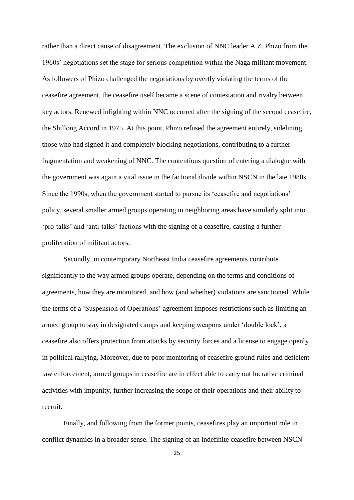rather than a direct cause of disagreement. The exclusion of NNC leader A.Z. Phizo from the 1960s' negotiations set the stage for serious competition within the Naga militant movement. As followers of Phizo challenged the negotiations by overtly violating the terms of the ceasefire agreement, the ceasefire itself became a scene of contestation and rivalry between key actors. Renewed infighting within NNC occurred after the signing of the second ceasefire, the Shillong Accord in 1975. At this point, Phizo refused the agreement entirely, sidelining those who had signed it and completely blocking negotiations, contributing to a further fragmentation and weakening of NNC. The contentious question of entering a dialogue with the government was again a vital issue in the factional divide within NSCN in the late 1980s. Since the 1990s, when the government started to pursue its 'ceasefire and negotiations' policy, several smaller armed groups operating in neighboring areas have similarly split into 'pro-talks' and 'anti-talks' factions with the signing of a ceasefire, causing a further proliferation of militant actors.

Secondly, in contemporary Northeast India ceasefire agreements contribute significantly to the way armed groups operate, depending on the terms and conditions of agreements, how they are monitored, and how (and whether) violations are sanctioned. While the terms of a 'Suspension of Operations' agreement imposes restrictions such as limiting an armed group to stay in designated camps and keeping weapons under 'double lock', a ceasefire also offers protection from attacks by security forces and a license to engage openly in political rallying. Moreover, due to poor monitoring of ceasefire ground rules and deficient law enforcement, armed groups in ceasefire are in effect able to carry out lucrative criminal activities with impunity, further increasing the scope of their operations and their ability to recruit.

Finally, and following from the former points, ceasefires play an important role in conflict dynamics in a broader sense. The signing of an indefinite ceasefire between NSCN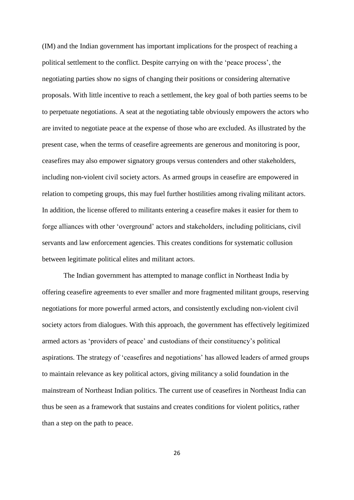(IM) and the Indian government has important implications for the prospect of reaching a political settlement to the conflict. Despite carrying on with the 'peace process', the negotiating parties show no signs of changing their positions or considering alternative proposals. With little incentive to reach a settlement, the key goal of both parties seems to be to perpetuate negotiations. A seat at the negotiating table obviously empowers the actors who are invited to negotiate peace at the expense of those who are excluded. As illustrated by the present case, when the terms of ceasefire agreements are generous and monitoring is poor, ceasefires may also empower signatory groups versus contenders and other stakeholders, including non-violent civil society actors. As armed groups in ceasefire are empowered in relation to competing groups, this may fuel further hostilities among rivaling militant actors. In addition, the license offered to militants entering a ceasefire makes it easier for them to forge alliances with other 'overground' actors and stakeholders, including politicians, civil servants and law enforcement agencies. This creates conditions for systematic collusion between legitimate political elites and militant actors.

The Indian government has attempted to manage conflict in Northeast India by offering ceasefire agreements to ever smaller and more fragmented militant groups, reserving negotiations for more powerful armed actors, and consistently excluding non-violent civil society actors from dialogues. With this approach, the government has effectively legitimized armed actors as 'providers of peace' and custodians of their constituency's political aspirations. The strategy of 'ceasefires and negotiations' has allowed leaders of armed groups to maintain relevance as key political actors, giving militancy a solid foundation in the mainstream of Northeast Indian politics. The current use of ceasefires in Northeast India can thus be seen as a framework that sustains and creates conditions for violent politics, rather than a step on the path to peace.

26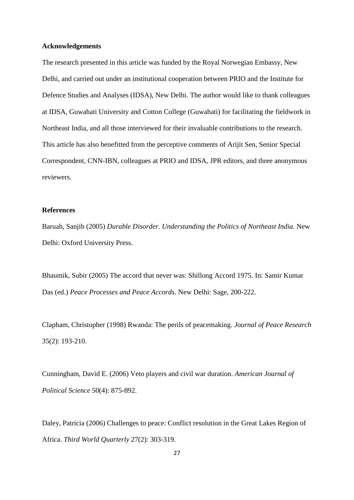#### **Acknowledgements**

The research presented in this article was funded by the Royal Norwegian Embassy, New Delhi, and carried out under an institutional cooperation between PRIO and the Institute for Defence Studies and Analyses (IDSA), New Delhi. The author would like to thank colleagues at IDSA, Guwahati University and Cotton College (Guwahati) for facilitating the fieldwork in Northeast India, and all those interviewed for their invaluable contributions to the research. This article has also benefitted from the perceptive comments of Arijit Sen, Senior Special Correspondent, CNN-IBN, colleagues at PRIO and IDSA, JPR editors, and three anonymous reviewers.

#### **References**

Baruah, Sanjib (2005) *Durable Disorder. Understanding the Politics of Northeast India*. New Delhi: Oxford University Press.

Bhaumik, Subir (2005) The accord that never was: Shillong Accord 1975. In: Samir Kumar Das (ed.) *Peace Processes and Peace Accords*. New Delhi: Sage, 200-222.

Clapham, Christopher (1998) Rwanda: The perils of peacemaking. *Journal of Peace Research* 35(2): 193-210.

Cunningham, David E. (2006) Veto players and civil war duration. *American Journal of Political Science* 50(4): 875-892.

Daley, Patricia (2006) Challenges to peace: Conflict resolution in the Great Lakes Region of Africa. *Third World Quarterly* 27(2): 303-319.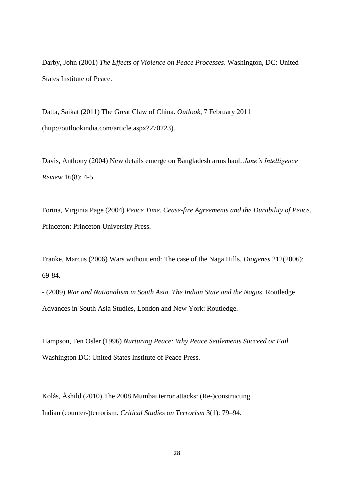Darby, John (2001) *The Effects of Violence on Peace Processes*. Washington, DC: United States Institute of Peace.

Datta, Saikat (2011) The Great Claw of China. *Outlook*, 7 February 2011 (http://outlookindia.com/article.aspx?270223).

Davis, Anthony (2004) New details emerge on Bangladesh arms haul. *Jane's Intelligence Review* 16(8): 4-5.

Fortna, Virginia Page (2004) *Peace Time. Cease-fire Agreements and the Durability of Peace*. Princeton: Princeton University Press.

Franke, Marcus (2006) Wars without end: The case of the Naga Hills. *Diogenes* 212(2006): 69-84.

- (2009) *War and Nationalism in South Asia. The Indian State and the Nagas*. Routledge Advances in South Asia Studies, London and New York: Routledge.

Hampson, Fen Osler (1996) *Nurturing Peace: Why Peace Settlements Succeed or Fail.*  Washington DC: United States Institute of Peace Press.

Kolås, Åshild (2010) The 2008 Mumbai terror attacks: (Re-)constructing Indian (counter-)terrorism. *Critical Studies on Terrorism* 3(1): 79–94.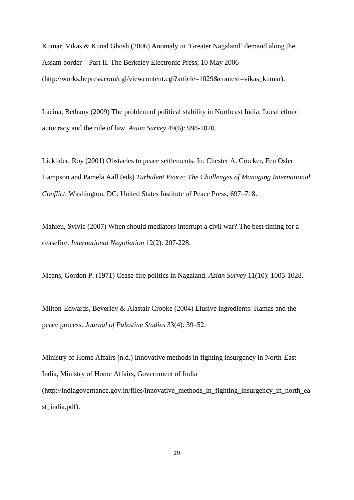Kumar, Vikas & Kunal Ghosh (2006) Anomaly in 'Greater Nagaland' demand along the Assam border – Part II. The Berkeley Electronic Press, 10 May 2006 (http://works.bepress.com/cgi/viewcontent.cgi?article=1029&context=vikas\_kumar).

Lacina, Bethany (2009) The problem of political stability in Northeast India: Local ethnic autocracy and the rule of law. *Asian Survey* 49(6): 998-1020.

Licklider, Roy (2001) Obstacles to peace settlements. In: Chester A. Crocker, Fen Osler Hampson and Pamela Aall (eds) *Turbulent Peace: The Challenges of Managing International Conflict*. Washington, DC: United States Institute of Peace Press, 697–718.

Mahieu, Sylvie (2007) When should mediators interrupt a civil war? The best timing for a ceasefire. *International Negotiation* 12(2): 207-228.

Means, Gordon P. (1971) Cease-fire politics in Nagaland. *Asian Survey* 11(10): 1005-1028.

Milton-Edwards, Beverley & Alastair Crooke (2004) Elusive ingredients: Hamas and the peace process. *Journal of Palestine Studies* 33(4): 39–52.

Ministry of Home Affairs (n.d.) Innovative methods in fighting insurgency in North-East India, Ministry of Home Affairs, Government of India (http://indiagovernance.gov.in/files/innovative\_methods\_in\_fighting\_insurgency\_in\_north\_ea st\_india.pdf).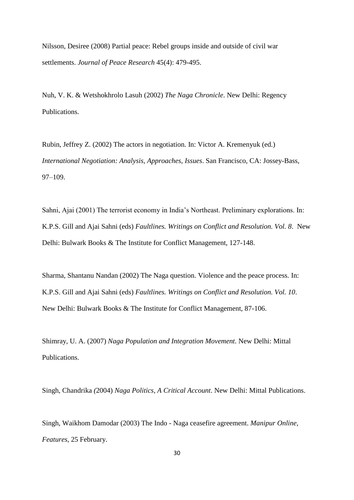Nilsson, Desiree (2008) Partial peace: Rebel groups inside and outside of civil war settlements. *Journal of Peace Research* 45(4): 479-495.

Nuh, V. K. & Wetshokhrolo Lasuh (2002) *The Naga Chronicle*. New Delhi: Regency Publications.

Rubin, Jeffrey Z. (2002) The actors in negotiation. In: Victor A. Kremenyuk (ed.) *International Negotiation: Analysis, Approaches, Issues*. San Francisco, CA: Jossey-Bass, 97–109.

Sahni, Ajai (2001) The terrorist economy in India's Northeast. Preliminary explorations. In: K.P.S. Gill and Ajai Sahni (eds) *Faultlines. Writings on Conflict and Resolution. Vol. 8*. New Delhi: Bulwark Books & The Institute for Conflict Management, 127-148.

Sharma, Shantanu Nandan (2002) The Naga question. Violence and the peace process. In: K.P.S. Gill and Ajai Sahni (eds) *Faultlines. Writings on Conflict and Resolution. Vol. 10*. New Delhi: Bulwark Books & The Institute for Conflict Management, 87-106.

Shimray, U. A. (2007) *Naga Population and Integration Movement*. New Delhi: Mittal Publications.

Singh, Chandrika *(*2004) *Naga Politics, A Critical Account*. New Delhi: Mittal Publications.

Singh, Waikhom Damodar (2003) The Indo - Naga ceasefire agreement. *Manipur Online, Features*, 25 February.